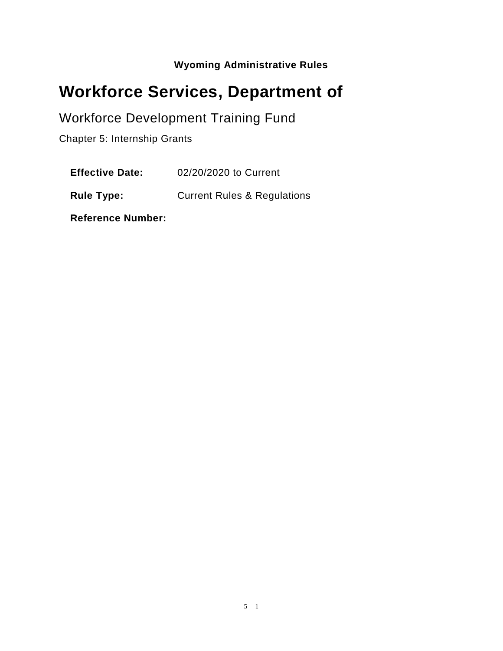**Wyoming Administrative Rules**

# **Workforce Services, Department of**

# Workforce Development Training Fund

Chapter 5: Internship Grants

**Effective Date:** 02/20/2020 to Current

**Rule Type:** Current Rules & Regulations

**Reference Number:**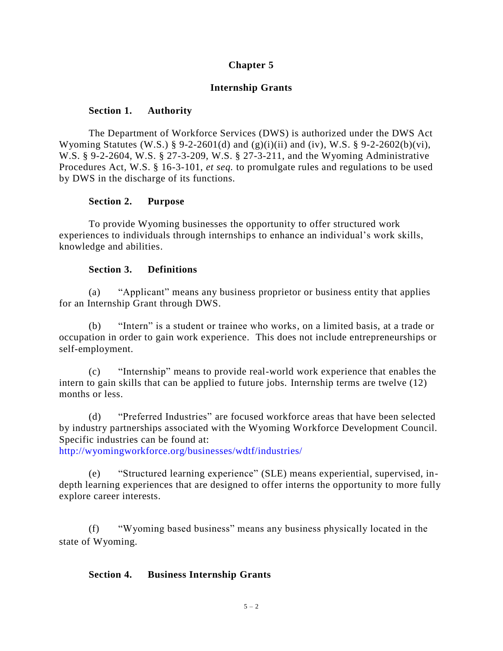# **Chapter 5**

# **Internship Grants**

#### **Section 1. Authority**

The Department of Workforce Services (DWS) is authorized under the DWS Act Wyoming Statutes (W.S.) § 9-2-2601(d) and (g)(i)(ii) and (iv), W.S. § 9-2-2602(b)(vi), W.S. § 9-2-2604, W.S. § 27-3-209, W.S. § 27-3-211, and the Wyoming Administrative Procedures Act, W.S. § 16-3-101, *et seq.* to promulgate rules and regulations to be used by DWS in the discharge of its functions.

#### **Section 2. Purpose**

To provide Wyoming businesses the opportunity to offer structured work experiences to individuals through internships to enhance an individual's work skills, knowledge and abilities.

#### **Section 3. Definitions**

(a) "Applicant" means any business proprietor or business entity that applies for an Internship Grant through DWS.

(b) "Intern" is a student or trainee who works, on a limited basis, at a trade or occupation in order to gain work experience. This does not include entrepreneurships or self-employment.

(c) "Internship" means to provide real-world work experience that enables the intern to gain skills that can be applied to future jobs. Internship terms are twelve (12) months or less.

(d) "Preferred Industries" are focused workforce areas that have been selected by industry partnerships associated with the Wyoming Workforce Development Council. Specific industries can be found at:

<http://wyomingworkforce.org/businesses/wdtf/industries/>

(e) "Structured learning experience" (SLE) means experiential, supervised, indepth learning experiences that are designed to offer interns the opportunity to more fully explore career interests.

(f) "Wyoming based business" means any business physically located in the state of Wyoming.

## **Section 4. Business Internship Grants**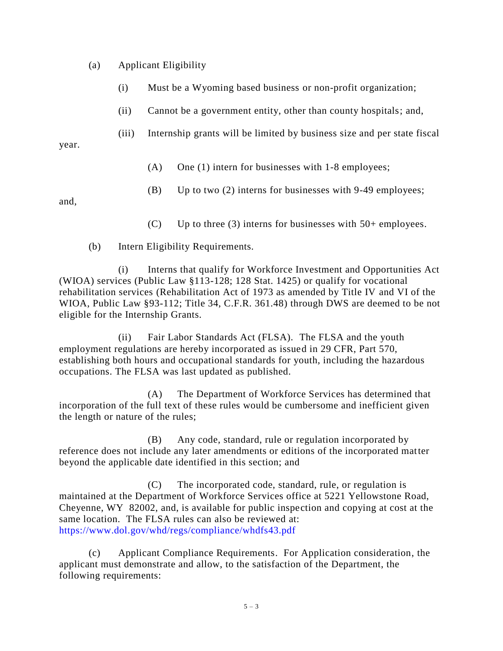(a) Applicant Eligibility

- (i) Must be a Wyoming based business or non-profit organization;
- (ii) Cannot be a government entity, other than county hospitals; and,
- (iii) Internship grants will be limited by business size and per state fiscal

year.

- (A) One (1) intern for businesses with 1-8 employees;
- (B) Up to two (2) interns for businesses with 9-49 employees;

and,

(C) Up to three (3) interns for businesses with  $50+$  employees.

(b) Intern Eligibility Requirements.

(i) Interns that qualify for Workforce Investment and Opportunities Act (WIOA) services (Public Law §113-128; 128 Stat. 1425) or qualify for vocational rehabilitation services (Rehabilitation Act of 1973 as amended by Title IV and VI of the WIOA, Public Law §93-112; Title 34, C.F.R. 361.48) through DWS are deemed to be not eligible for the Internship Grants.

(ii) Fair Labor Standards Act (FLSA). The FLSA and the youth employment regulations are hereby incorporated as issued in 29 CFR, Part 570, establishing both hours and occupational standards for youth, including the hazardous occupations. The FLSA was last updated as published.

(A) The Department of Workforce Services has determined that incorporation of the full text of these rules would be cumbersome and inefficient given the length or nature of the rules;

(B) Any code, standard, rule or regulation incorporated by reference does not include any later amendments or editions of the incorporated matter beyond the applicable date identified in this section; and

(C) The incorporated code, standard, rule, or regulation is maintained at the Department of Workforce Services office at 5221 Yellowstone Road, Cheyenne, WY 82002, and, is available for public inspection and copying at cost at the same location. The FLSA rules can also be reviewed at: <https://www.dol.gov/whd/regs/compliance/whdfs43.pdf>

(c) Applicant Compliance Requirements. For Application consideration, the applicant must demonstrate and allow, to the satisfaction of the Department, the following requirements: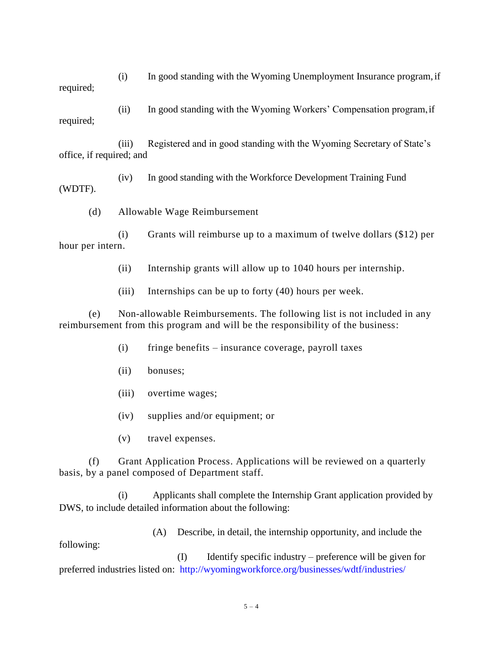(i) In good standing with the Wyoming Unemployment Insurance program,if required;

(ii) In good standing with the Wyoming Workers' Compensation program,if required;

(iii) Registered and in good standing with the Wyoming Secretary of State's office, if required; and

(iv) In good standing with the Workforce Development Training Fund (WDTF).

(d) Allowable Wage Reimbursement

(i) Grants will reimburse up to a maximum of twelve dollars (\$12) per hour per intern.

(ii) Internship grants will allow up to 1040 hours per internship.

(iii) Internships can be up to forty (40) hours per week.

(e) Non-allowable Reimbursements. The following list is not included in any reimbursement from this program and will be the responsibility of the business:

(i) fringe benefits – insurance coverage, payroll taxes

(ii) bonuses;

(iii) overtime wages;

(iv) supplies and/or equipment; or

(v) travel expenses.

(f) Grant Application Process. Applications will be reviewed on a quarterly basis, by a panel composed of Department staff.

(i) Applicants shall complete the Internship Grant application provided by DWS, to include detailed information about the following:

(A) Describe, in detail, the internship opportunity, and include the following:

(I) Identify specific industry – preference will be given for preferred industries listed on: <http://wyomingworkforce.org/businesses/wdtf/industries/>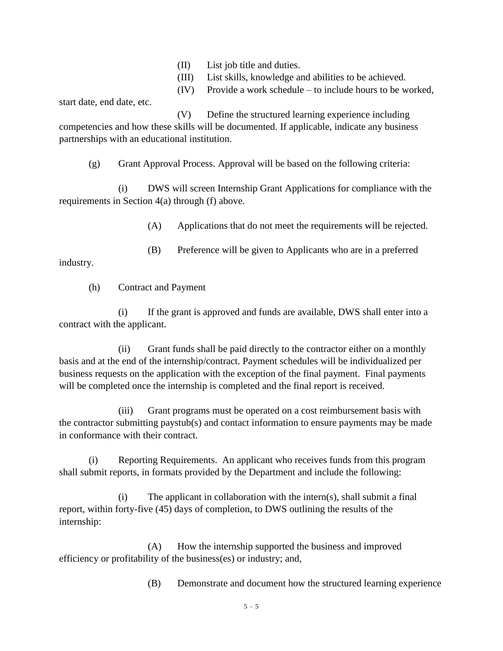- (II) List job title and duties.
- (III) List skills, knowledge and abilities to be achieved.
- (IV) Provide a work schedule to include hours to be worked,

start date, end date, etc.

(V) Define the structured learning experience including competencies and how these skills will be documented. If applicable, indicate any business partnerships with an educational institution.

(g) Grant Approval Process. Approval will be based on the following criteria:

(i) DWS will screen Internship Grant Applications for compliance with the requirements in Section 4(a) through (f) above.

(A) Applications that do not meet the requirements will be rejected.

(B) Preference will be given to Applicants who are in a preferred

industry.

(h) Contract and Payment

(i) If the grant is approved and funds are available, DWS shall enter into a contract with the applicant.

(ii) Grant funds shall be paid directly to the contractor either on a monthly basis and at the end of the internship/contract. Payment schedules will be individualized per business requests on the application with the exception of the final payment. Final payments will be completed once the internship is completed and the final report is received.

(iii) Grant programs must be operated on a cost reimbursement basis with the contractor submitting paystub(s) and contact information to ensure payments may be made in conformance with their contract.

(i) Reporting Requirements. An applicant who receives funds from this program shall submit reports, in formats provided by the Department and include the following:

(i) The applicant in collaboration with the intern(s), shall submit a final report, within forty-five (45) days of completion, to DWS outlining the results of the internship:

(A) How the internship supported the business and improved efficiency or profitability of the business(es) or industry; and,

(B) Demonstrate and document how the structured learning experience